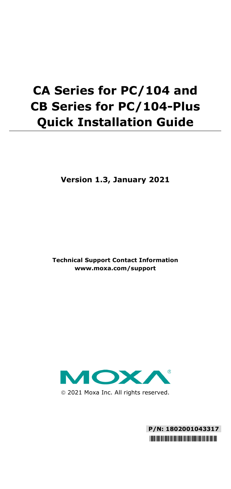# **CA Series for PC/104 and CB Series for PC/104-Plus Quick Installation Guide**

**Version 1.3, January 2021**

**Technical Support Contact Information www.moxa.com/support**



**P/N: 1802001043317** \*1802001043317\*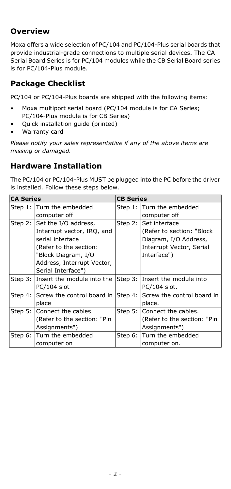# **Overview**

Moxa offers a wide selection of PC/104 and PC/104-Plus serial boards that provide industrial-grade connections to multiple serial devices. The CA Serial Board Series is for PC/104 modules while the CB Serial Board series is for PC/104-Plus module.

# **Package Checklist**

PC/104 or PC/104-Plus boards are shipped with the following items:

- Moxa multiport serial board (PC/104 module is for CA Series; PC/104-Plus module is for CB Series)
- Quick installation guide (printed)
- Warranty card

*Please notify your sales representative if any of the above items are missing or damaged.*

# **Hardware Installation**

The PC/104 or PC/104-Plus MUST be plugged into the PC before the driver is installed. Follow these steps below.

| <b>CA Series</b> |                                            | <b>CB Series</b> |                             |
|------------------|--------------------------------------------|------------------|-----------------------------|
|                  | Step 1: Turn the embedded                  | Step 1:          | Turn the embedded           |
|                  | computer off                               |                  | computer off                |
|                  | Step 2: Set the I/O address,               | Step 2:          | Set interface               |
|                  | Interrupt vector, IRQ, and                 |                  | (Refer to section: "Block   |
|                  | serial interface                           |                  | Diagram, I/O Address,       |
|                  | (Refer to the section:                     |                  | Interrupt Vector, Serial    |
|                  | "Block Diagram, I/O                        |                  | Interface")                 |
|                  | Address, Interrupt Vector,                 |                  |                             |
|                  | Serial Interface")                         |                  |                             |
|                  | Step 3: Insert the module into the         | Step 3:          | Insert the module into      |
|                  | PC/104 slot                                |                  | PC/104 slot.                |
|                  | Step 4: Screw the control board in Step 4: |                  | Screw the control board in  |
|                  | place                                      |                  | place.                      |
|                  | Step 5: Connect the cables                 | Step 5:          | Connect the cables.         |
|                  | (Refer to the section: "Pin                |                  | (Refer to the section: "Pin |
|                  | Assignments")                              |                  | Assignments")               |
| Step 6:          | Turn the embedded                          | Step $6:$        | Turn the embedded           |
|                  | computer on                                |                  | computer on.                |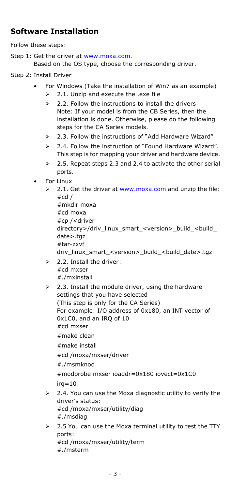# **Software Installation**

Follow these steps:

Step 1: Get the driver at [www.moxa.com.](http://www.moxa.com/) Based on the OS type, choose the corresponding driver.

- Step 2: Install Driver
	- For Windows (Take the installation of Win7 as an example)
		- $\geq$  2.1. Unzip and execute the .exe file
		- $\geq$  2.2. Follow the instructions to install the drivers Note: If your model is from the CB Series, then the installation is done. Otherwise, please do the following steps for the CA Series models.
		- $\geq$  2.3. Follow the instructions of "Add Hardware Wizard"
		- $\geq$  2.4. Follow the instruction of "Found Hardware Wizard". This step is for mapping your driver and hardware device.
		- $\geq$  2.5. Repeat steps 2.3 and 2.4 to activate the other serial ports.
	- For Linux
		- 2.1. Get the driver a[t www.moxa.com](http://www.moxa.com/) and unzip the file:  $#cd/$ #mkdir moxa #cd moxa #cp /<driver directory>/driv\_linux\_smart\_<version>\_build\_<br/><br/>chuild date>.tgz #tar-zxvf driv\_linux\_smart\_<version>\_build\_<build\_date>.tgz
		- $\geq 2.2$ . Install the driver: #cd mxser
			- #./mxinstall
		- $\geq$  2.3. Install the module driver, using the hardware settings that you have selected (This step is only for the CA Series) For example: I/O address of 0x180, an INT vector of 0x1C0, and an IRQ of 10 #cd mxser #make clean #make install #cd /moxa/mxser/driver #./msmknod #modprobe mxser ioaddr=0x180 iovect=0x1C0  $ira=10$  $\geq$  2.4. You can use the Moxa diagnostic utility to verify the driver's status: #cd /moxa/mxser/utility/diag #./msdiag  $\geq$  2.5 You can use the Moxa terminal utility to test the TTY
		- ports: #cd /moxa/mxser/utility/term #./msterm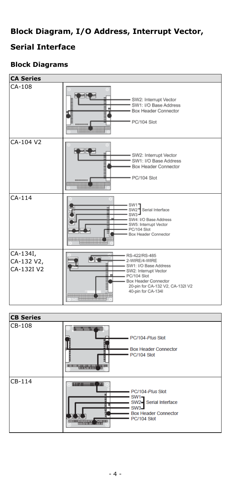# **Block Diagram, I/O Address, Interrupt Vector,**

# **Serial Interface**

## **Block Diagrams**



|        | <del>------------------------------</del><br><b>THEFTHER</b><br>н                                                                                                                                                                       |
|--------|-----------------------------------------------------------------------------------------------------------------------------------------------------------------------------------------------------------------------------------------|
| CB-114 | 用<br><b>HERRICHSHER</b><br>PC/104-Plus Slot<br>$SW1 -$<br>SW2-Serial Interface<br>Ξ<br><b>SW3-</b><br><b>Box Header Connector</b><br>℡<br>PC/104 Slot<br><b>HITTEET</b><br><del>TERRITORIA DE</del><br><b>Bellevatory</b><br><b>AND</b> |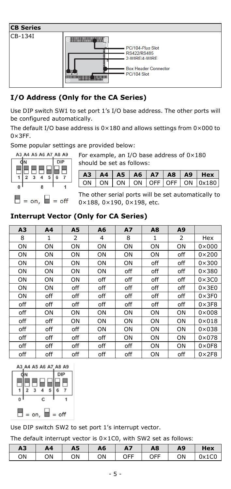

# **I/O Address (Only for the CA Series)**

Use DIP switch SW1 to set port 1's I/O base address. The other ports will be configured automatically.

The default I/O base address is 0×180 and allows settings from 0×000 to  $0 \times 3FF$ .

Some popular settings are provided below:



For example, an I/O base address of 0×180 should be set as follows:

|  |  |  | $\boxed{ON}$ $\boxed{ON}$ $\boxed{ON}$ $\boxed{ON}$ $\boxed{OR}$ $\boxed{OFF}$ $\boxed{ON}$ $\boxed{0x180}$ |
|--|--|--|-------------------------------------------------------------------------------------------------------------|

The other serial ports will be set automatically to 0×188, 0×190, 0×198, etc.

## **Interrupt Vector (Only for CA Series)**

| A <sub>3</sub> | A <sub>4</sub> | A5  | A6  | <b>A7</b> | A8  | A9  |                |
|----------------|----------------|-----|-----|-----------|-----|-----|----------------|
| 8              | 1              | 2   | 4   | 8         | 1   | 2   | Hex            |
| ON             | ON             | ON  | ON  | ON        | ON  | ON  | $0 \times 000$ |
| ON             | ON             | ON  | ON  | ON        | ON  | off | $0 \times 200$ |
| ON             | ON             | ON  | ON  | ON        | off | off | $0 \times 300$ |
| ΟN             | ON             | ΟN  | ΟN  | off       | off | off | $0\times 380$  |
| ON             | ON             | ON  | off | off       | off | off | $0\times 3C0$  |
| ON             | ON             | off | off | off       | off | off | $0\times 3E0$  |
| ON             | off            | off | off | off       | off | off | $0\times 3F0$  |
| off            | off            | off | off | off       | off | off | $0 \times 3F8$ |
| off            | ON             | ON  | ON  | ON        | ON  | ON  | $0 \times 008$ |
| off            | off            | ON  | ON  | ON        | ON  | ON  | $0\times018$   |
| off            | off            | off | ON  | ON        | ON  | ON  | $0 \times 038$ |
| off            | off            | off | off | ON        | ON  | ΟN  | $0\times 078$  |
| off            | off            | off | off | off       | ON  | ON  | $0 \times 0F8$ |
| off            | off            | off | off | off       | ON  | off | $0 \times 2F8$ |



Use DIP switch SW2 to set port 1's interrupt vector.

The default interrupt vector is  $0 \times 1$ C0, with SW2 set as follows:

| A <sub>3</sub> | Α4 | Α5 | A6 | A7  | A8  | A9 | Hex   |
|----------------|----|----|----|-----|-----|----|-------|
| ΟN             | ΟN | ΟN | ΟN | OFF | OFF | ΟN | 0x1C0 |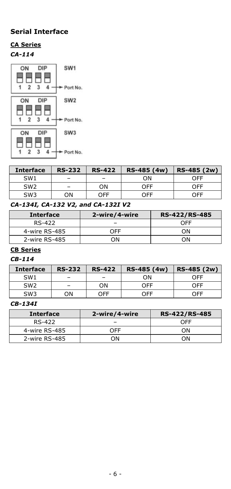## **Serial Interface**

## **CA Series** *CA-114*



| <b>Interface</b> | <b>RS-232</b> | <b>RS-422</b> | RS-485 (4w) | RS-485 (2w) |
|------------------|---------------|---------------|-------------|-------------|
| SW <sub>1</sub>  |               |               | ΟN          | OFF         |
| SW <sub>2</sub>  |               | ΟN            | OFF         | OFF         |
| SW <sub>3</sub>  | ΟN            | OFF           | OFF         | OFF         |

## *CA-134I, CA-132 V2, and CA-132I V2*

| <b>Interface</b> | 2-wire/4-wire | RS-422/RS-485 |  |  |
|------------------|---------------|---------------|--|--|
| RS-422           |               | ∩FF           |  |  |
| 4-wire RS-485    | ∩FF           | ΩN            |  |  |
| 2-wire RS-485    | ωN            | ΩN            |  |  |

### **CB Series**

## *CB-114*

| <b>Interface</b> | <b>RS-232</b> | <b>RS-422</b> | RS-485 (4w) | RS-485 (2w) |
|------------------|---------------|---------------|-------------|-------------|
| SW <sub>1</sub>  |               |               | ΟN          | OFF         |
| SW <sub>2</sub>  |               | ΟN            | OFF         | OFF         |
| SW <sub>3</sub>  | ΟN            | OFF           | OFF         | OFF         |

#### *CB-134I*

| <b>Interface</b> | 2-wire/4-wire | RS-422/RS-485 |  |  |
|------------------|---------------|---------------|--|--|
| RS-422           |               | ∩FF           |  |  |
| 4-wire RS-485    | ∩FF           | OΝ            |  |  |
| 2-wire RS-485    | ΩN            | OΝ            |  |  |